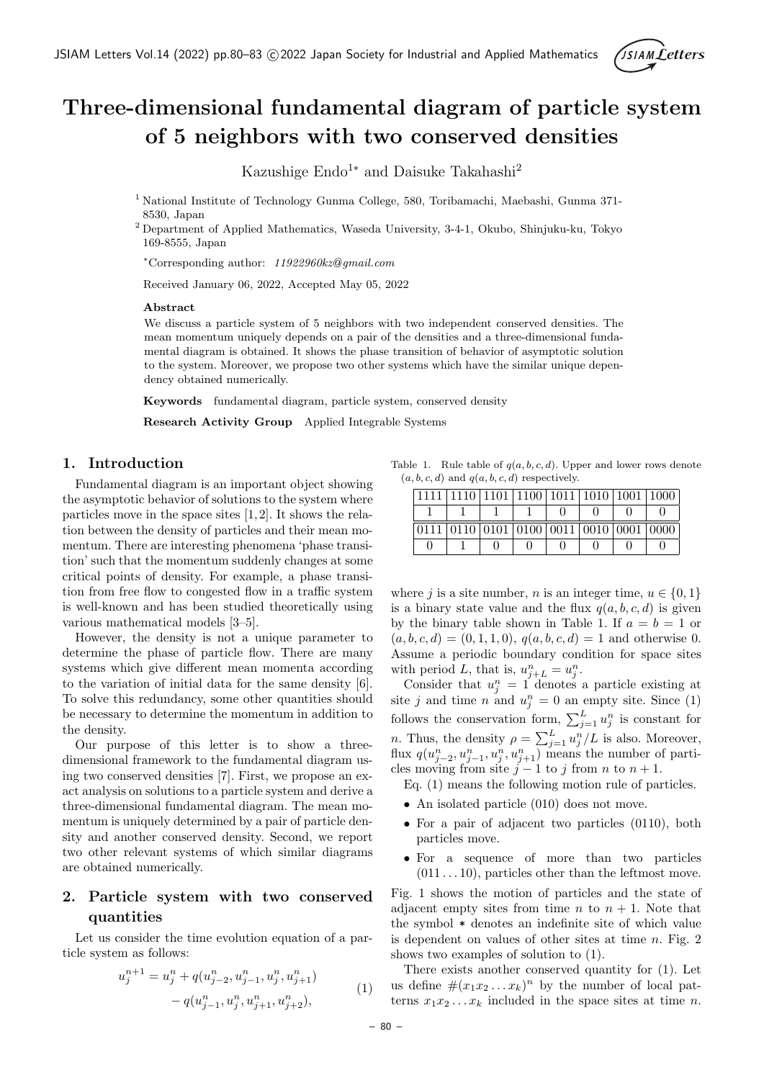

# **Three-dimensional fundamental diagram of particle system of 5 neighbors with two conserved densities**

Kazushige Endo<sup>1∗</sup> and Daisuke Takahashi<sup>2</sup>

- <sup>1</sup> National Institute of Technology Gunma College, 580, Toribamachi, Maebashi, Gunma 371- 8530, Japan
- <sup>2</sup> Department of Applied Mathematics, Waseda University, 3-4-1, Okubo, Shinjuku-ku, Tokyo 169-8555, Japan

*<sup>∗</sup>*Corresponding author: *11922960kz gmail.com*

Received January 06, 2022, Accepted May 05, 2022

#### **Abstract**

We discuss a particle system of 5 neighbors with two independent conserved densities. The mean momentum uniquely depends on a pair of the densities and a three-dimensional fundamental diagram is obtained. It shows the phase transition of behavior of asymptotic solution to the system. Moreover, we propose two other systems which have the similar unique dependency obtained numerically.

**Keywords** fundamental diagram, particle system, conserved density

**Research Activity Group** Applied Integrable Systems

#### **1. Introduction**

Fundamental diagram is an important object showing the asymptotic behavior of solutions to the system where particles move in the space sites [1, 2]. It shows the relation between the density of particles and their mean momentum. There are interesting phenomena 'phase transition' such that the momentum suddenly changes at some critical points of density. For example, a phase transition from free flow to congested flow in a traffic system is well-known and has been studied theoretically using various mathematical models [3–5].

However, the density is not a unique parameter to determine the phase of particle flow. There are many systems which give different mean momenta according to the variation of initial data for the same density [6]. To solve this redundancy, some other quantities should be necessary to determine the momentum in addition to the density.

Our purpose of this letter is to show a threedimensional framework to the fundamental diagram using two conserved densities [7]. First, we propose an exact analysis on solutions to a particle system and derive a three-dimensional fundamental diagram. The mean momentum is uniquely determined by a pair of particle density and another conserved density. Second, we report two other relevant systems of which similar diagrams are obtained numerically.

## **2. Particle system with two conserved quantities**

Let us consider the time evolution equation of a particle system as follows:

$$
u_j^{n+1} = u_j^n + q(u_{j-2}^n, u_{j-1}^n, u_j^n, u_{j+1}^n)
$$
  
- 
$$
q(u_{j-1}^n, u_j^n, u_{j+1}^n, u_{j+2}^n),
$$
 (1)

Table 1. Rule table of *q*(*a, b, c, d*). Upper and lower rows denote  $(a, b, c, d)$  and  $q(a, b, c, d)$  respectively.

|      |                                    | 1110 1101 1100 1011 1010 1001 1000 |  |  |  |
|------|------------------------------------|------------------------------------|--|--|--|
|      |                                    |                                    |  |  |  |
| 0111 | 0110 0101 0100 0011 0010 0001 0000 |                                    |  |  |  |
|      |                                    |                                    |  |  |  |

where *j* is a site number, *n* is an integer time,  $u \in \{0, 1\}$ is a binary state value and the flux  $q(a, b, c, d)$  is given by the binary table shown in Table 1. If  $a = b = 1$  or  $(a, b, c, d) = (0, 1, 1, 0), q(a, b, c, d) = 1$  and otherwise 0. Assume a periodic boundary condition for space sites with period *L*, that is,  $u_{j+L}^n = u_j^n$ .

Consider that  $u_j^n = 1$  denotes a particle existing at site *j* and time *n* and  $u_j^n = 0$  an empty site. Since (1) follows the conservation form,  $\sum_{j=1}^{L} u_j^n$  is constant for *n*. Thus, the density  $\rho = \sum_{j=1}^{L} u_j^n / L$  is also. Moreover, flux  $q(u_{j-2}^n, u_{j-1}^n, u_j^n, u_{j+1}^n)$  means the number of particles moving from site  $j-1$  to  $j$  from  $n$  to  $n+1$ .

- Eq. (1) means the following motion rule of particles.
- An isolated particle (010) does not move.
- For a pair of adjacent two particles  $(0110)$ , both particles move.
- *•* For a sequence of more than two particles  $(011 \ldots 10)$ , particles other than the leftmost move.

Fig. 1 shows the motion of particles and the state of adjacent empty sites from time *n* to  $n + 1$ . Note that the symbol \* denotes an indefinite site of which value is dependent on values of other sites at time *n*. Fig. 2 shows two examples of solution to (1).

There exists another conserved quantity for (1). Let us define  $\#(x_1x_2...x_k)^n$  by the number of local patterns  $x_1x_2...x_k$  included in the space sites at time *n*.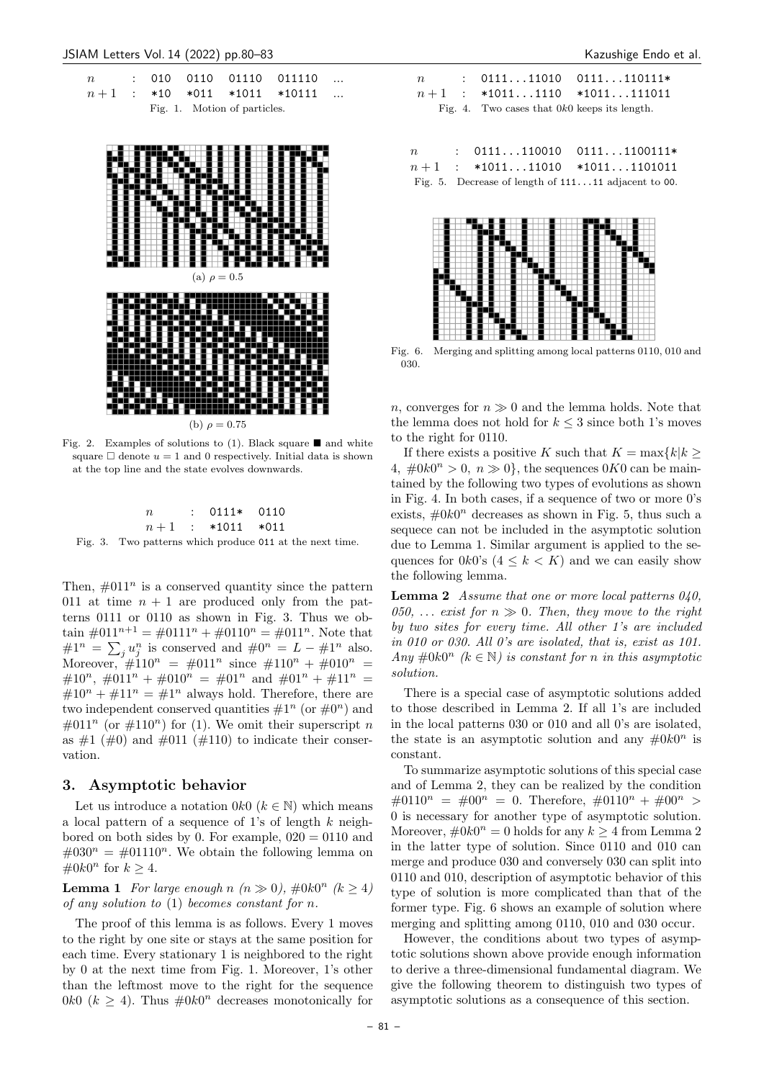



Fig. 2. Examples of solutions to (1). Black square  $\blacksquare$  and white square  $\Box$  denote  $u = 1$  and 0 respectively. Initial data is shown at the top line and the state evolves downwards.

|    |  | $: 0111* 0110$     |  |
|----|--|--------------------|--|
|    |  | $n+1$ : *1011 *011 |  |
| -- |  |                    |  |

Fig. 3. Two patterns which produce 011 at the next time.

Then,  $\#011^n$  is a conserved quantity since the pattern 011 at time  $n + 1$  are produced only from the patterns 0111 or 0110 as shown in Fig. 3. Thus we obtain  $\#011^{n+1} = \#0111^n + \#0110^n = \#011^n$ . Note that  $\#1^n = \sum_j u_j^n$  is conserved and  $\#0^n = L - \#1^n$  also. Moreover,  $\#110^n = #011^n$  since  $#110^n + #010^n =$ #10<sup>n</sup>, #011<sup>n</sup> + #010<sup>n</sup> = #01<sup>n</sup> and #01<sup>n</sup> + #11<sup>n</sup> =  $\#10^n + #11^n = #1^n$  always hold. Therefore, there are two independent conserved quantities  $\#1^n$  (or  $\#0^n$ ) and  $\#011^n$  (or  $\#110^n$ ) for (1). We omit their superscript *n* as  $\#1$  ( $\#0$ ) and  $\#011$  ( $\#110$ ) to indicate their conservation.

### **3. Asymptotic behavior**

Let us introduce a notation  $0k0$  ( $k \in \mathbb{N}$ ) which means a local pattern of a sequence of 1's of length *k* neighbored on both sides by 0. For example,  $020 = 0110$  and  $\#030^n = #01110^n$ . We obtain the following lemma on  $#0k0<sup>n</sup>$  for  $k ≥ 4$ .

**Lemma 1** *For large enough*  $n (n \gg 0)$ ,  $\#0k0^n (k \ge 4)$ *of any solution to* (1) *becomes constant for n.*

The proof of this lemma is as follows. Every 1 moves to the right by one site or stays at the same position for each time. Every stationary 1 is neighbored to the right by 0 at the next time from Fig. 1. Moreover, 1's other than the leftmost move to the right for the sequence 0 $k$ 0 ( $k \geq 4$ ). Thus  $\#0k0^n$  decreases monotonically for

|  |  |                                                | $n$ : 011111010 0111110111*   |
|--|--|------------------------------------------------|-------------------------------|
|  |  |                                                | $n+1$ : *10111110 *1011111011 |
|  |  | Fig. 4. Two cases that $0k0$ keeps its length. |                               |
|  |  |                                                |                               |
|  |  |                                                |                               |

| $n_{\rm c}$ | $: 0111110010 01111100111*$                           |  |
|-------------|-------------------------------------------------------|--|
|             | $n+1$ : *101111010 *10111101011                       |  |
|             | Fig. 5. Decrease of length of $11111$ adjacent to 00. |  |



Fig. 6. Merging and splitting among local patterns 0110, 010 and 030.

*n*, converges for  $n \geq 0$  and the lemma holds. Note that the lemma does not hold for  $k \leq 3$  since both 1's moves to the right for 0110.

If there exists a positive *K* such that  $K = \max\{k | k\}$  $4, \#0k0^n > 0, n \gg 0$ , the sequences 0*K*0 can be maintained by the following two types of evolutions as shown in Fig. 4. In both cases, if a sequence of two or more 0's exists,  $#0k0<sup>n</sup>$  decreases as shown in Fig. 5, thus such a sequece can not be included in the asymptotic solution due to Lemma 1. Similar argument is applied to the sequences for  $0k0$ 's  $(4 \leq k \leq K)$  and we can easily show the following lemma.

**Lemma 2** *Assume that one or more local patterns 040,* 050,  $\ldots$  *exist for*  $n \gg 0$ *. Then, they move to the right by two sites for every time. All other 1's are included in 010 or 030. All 0's are isolated, that is, exist as 101. Any*  $#0k0^n$  ( $k \in \mathbb{N}$ ) *is constant for n in this asymptotic solution.*

There is a special case of asymptotic solutions added to those described in Lemma 2. If all 1's are included in the local patterns 030 or 010 and all 0's are isolated, the state is an asymptotic solution and any  $\#0k0^n$  is constant.

To summarize asymptotic solutions of this special case and of Lemma 2, they can be realized by the condition  $\#0110^n = #00^n = 0$ . Therefore,  $\#0110^n + #00^n >$ 0 is necessary for another type of asymptotic solution. Moreover,  $\#0k0^n = 0$  holds for any  $k \geq 4$  from Lemma 2 in the latter type of solution. Since 0110 and 010 can merge and produce 030 and conversely 030 can split into 0110 and 010, description of asymptotic behavior of this type of solution is more complicated than that of the former type. Fig. 6 shows an example of solution where merging and splitting among 0110, 010 and 030 occur.

However, the conditions about two types of asymptotic solutions shown above provide enough information to derive a three-dimensional fundamental diagram. We give the following theorem to distinguish two types of asymptotic solutions as a consequence of this section.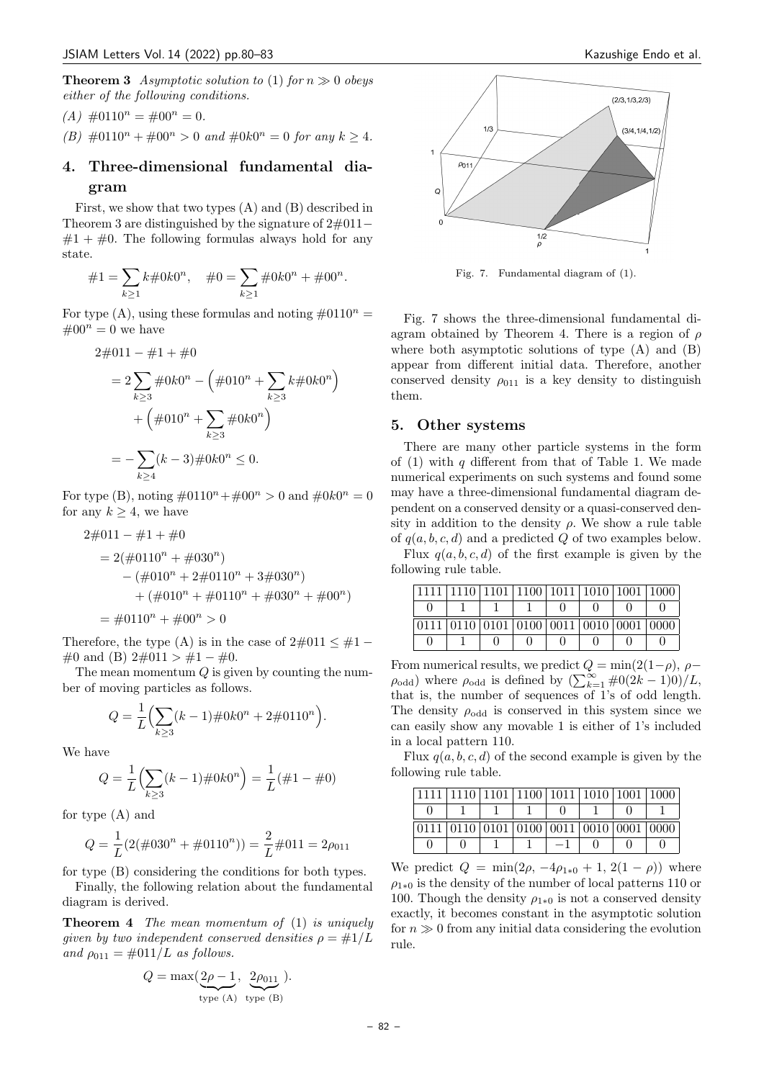**Theorem 3** *Asymptotic solution to* (1) *for*  $n \gg 0$  *obeys either of the following conditions.*

(A) 
$$
\#0110^n = \#00^n = 0.
$$

*(B)*  $\#0110^n + \#00^n > 0$  *and*  $\#0k0^n = 0$  *for any*  $k \geq 4$ *.* 

## **4. Three-dimensional fundamental diagram**

First, we show that two types (A) and (B) described in Theorem 3 are distinguished by the signature of 2#011*−*  $#1 + #0$ . The following formulas always hold for any state.

$$
\#1 = \sum_{k \ge 1} k \#0k0^n, \quad \#0 = \sum_{k \ge 1} \#0k0^n + \#00^n.
$$

For type  $(A)$ , using these formulas and noting  $\#0110^n =$  $\#00^n = 0$  we have

$$
2\#011 - \#1 + \#0
$$
  
=  $2\sum_{k\geq 3} \#0k0^n - (\#010^n + \sum_{k\geq 3} k\#0k0^n)$   
+  $(\#010^n + \sum_{k\geq 3} \#0k0^n)$   
=  $-\sum_{k\geq 4} (k-3) \#0k0^n \leq 0.$ 

For type (B), noting  $\#0110^n + \#00^n > 0$  and  $\#0k0^n = 0$ for any  $k \geq 4$ , we have

$$
2\#011 - \#1 + \#0
$$
  
= 2( $\#0110^n + \#030^n$ )  
– ( $\#010^n + 2\#0110^n + 3\#030^n$ )  
+ ( $\#010^n + \#0110^n + \#030^n + \#00^n$ )  
=  $\#0110^n + \#00^n > 0$ 

Therefore, the type (A) is in the case of  $2\#011 \leq \#1 -$ #0 and (B) 2#011 *>* #1 *−* #0.

The mean momentum *Q* is given by counting the number of moving particles as follows.

$$
Q = \frac{1}{L} \left( \sum_{k \ge 3} (k-1) \# 0k0^{n} + 2 \# 0110^{n} \right).
$$

We have

$$
Q = \frac{1}{L} \left( \sum_{k \ge 3} (k - 1) \# 0 k 0^n \right) = \frac{1}{L} (\# 1 - \# 0)
$$

for type (A) and

$$
Q = \frac{1}{L}(2(\#030^{n} + \#0110^{n})) = \frac{2}{L}\#011 = 2\rho_{011}
$$

for type (B) considering the conditions for both types.

Finally, the following relation about the fundamental diagram is derived.

**Theorem 4** *The mean momentum of* (1) *is uniquely given by two independent conserved densities*  $\rho = \#1/L$ *and*  $\rho_{011} = \text{\#}011/L$  *as follows.* 

$$
Q = \max(\underbrace{2\rho - 1}_{\text{type (A)}}, \underbrace{2\rho_{011}}_{\text{type (B)}}).
$$



Fig. 7. Fundamental diagram of (1).

Fig. 7 shows the three-dimensional fundamental diagram obtained by Theorem 4. There is a region of *ρ* where both asymptotic solutions of type (A) and (B) appear from different initial data. Therefore, another conserved density  $\rho_{011}$  is a key density to distinguish them.

### **5. Other systems**

There are many other particle systems in the form of (1) with *q* different from that of Table 1. We made numerical experiments on such systems and found some may have a three-dimensional fundamental diagram dependent on a conserved density or a quasi-conserved density in addition to the density  $\rho$ . We show a rule table of *q*(*a, b, c, d*) and a predicted *Q* of two examples below.

Flux  $q(a, b, c, d)$  of the first example is given by the following rule table.

| $1111 \mid 1110 \mid 1101 \mid 1100 \mid 1011 \mid 1010 \mid 1001 \mid 1000$ |  |  |  |
|------------------------------------------------------------------------------|--|--|--|
|                                                                              |  |  |  |
| $0111   0110   0101   0100   0011   0010   0001   0000$                      |  |  |  |
|                                                                              |  |  |  |

From numerical results, we predict  $Q = \min(2(1-\rho), \rho - \rho)$  $\rho_{\text{odd}}$ ) where  $\rho_{\text{odd}}$  is defined by  $(\sum_{k=1}^{\infty} \#0(2k-1)0)/L$ , that is, the number of sequences of 1's of odd length. The density  $\rho_{\text{odd}}$  is conserved in this system since we can easily show any movable 1 is either of 1's included in a local pattern 110.

Flux  $q(a, b, c, d)$  of the second example is given by the following rule table.

|  | 1111   1110   1101   1100   1011   1010   1001   1000   |  |  |
|--|---------------------------------------------------------|--|--|
|  |                                                         |  |  |
|  | $0111   0110   0101   0100   0011   0010   0001   0000$ |  |  |
|  |                                                         |  |  |

We predict *Q* = min(2*ρ*, −4*ρ*<sub>1\*0</sub> + 1, 2(1 − *ρ*)) where  $\rho_{1*0}$  is the density of the number of local patterns 110 or 100. Though the density  $\rho_{1*0}$  is not a conserved density exactly, it becomes constant in the asymptotic solution for  $n \gg 0$  from any initial data considering the evolution rule.

– 82 –